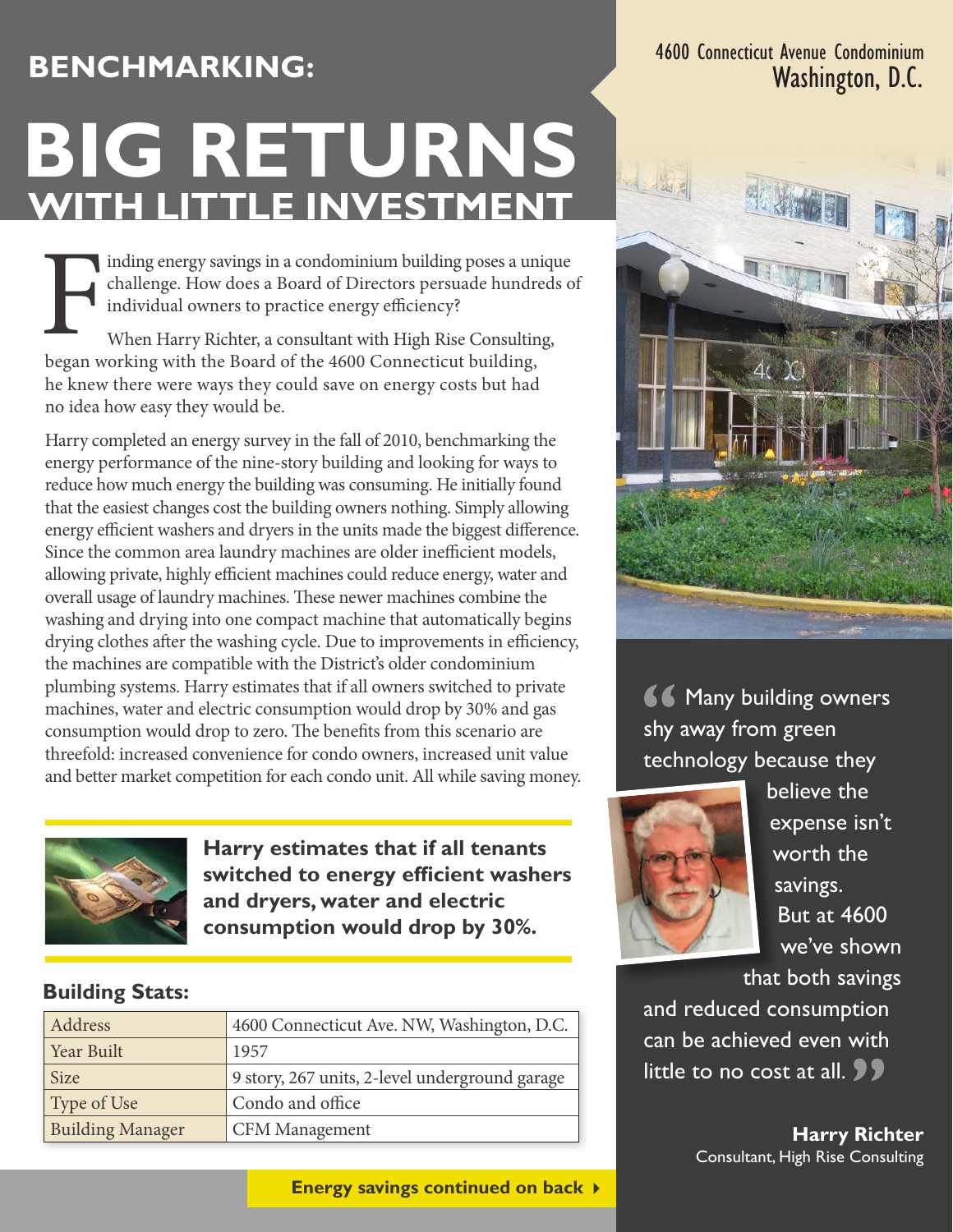## **Benchmarking:**

# **WITH LITTLE INVESTMENT BIG RETURNS**

Inding energy savings in a condominium building poses a university challenge. How does a Board of Directors persuade hundred individual owners to practice energy efficiency?<br>When Harry Richter, a consultant with High Rise inding energy savings in a condominium building poses a unique challenge. How does a Board of Directors persuade hundreds of individual owners to practice energy efficiency?

When Harry Richter, a consultant with High Rise Consulting, he knew there were ways they could save on energy costs but had no idea how easy they would be.

Harry completed an energy survey in the fall of 2010, benchmarking the energy performance of the nine-story building and looking for ways to reduce how much energy the building was consuming. He initially found that the easiest changes cost the building owners nothing. Simply allowing energy efficient washers and dryers in the units made the biggest difference. Since the common area laundry machines are older inefficient models, allowing private, highly efficient machines could reduce energy, water and overall usage of laundry machines. These newer machines combine the washing and drying into one compact machine that automatically begins drying clothes after the washing cycle. Due to improvements in efficiency, the machines are compatible with the District's older condominium plumbing systems. Harry estimates that if all owners switched to private machines, water and electric consumption would drop by 30% and gas consumption would drop to zero. The benefits from this scenario are threefold: increased convenience for condo owners, increased unit value and better market competition for each condo unit. All while saving money.



**Harry estimates that if all tenants switched to energy efficient washers and dryers, water and electric consumption would drop by 30%.**

#### **Building Stats:**

| Address                 | 4600 Connecticut Ave. NW, Washington, D.C.     |
|-------------------------|------------------------------------------------|
| Year Built              | 1957                                           |
| Size                    | 9 story, 267 units, 2-level underground garage |
| Type of Use             | Condo and office                               |
| <b>Building Manager</b> | <b>CFM Management</b>                          |

**Energy savings continued on back** 

4600 Connecticut Avenue Condominium Washington, D.C.



**66 Many building owners** shy away from green technology because they



believe the expense isn't worth the savings. But at 4600 we've shown

that both savings and reduced consumption can be achieved even with little to no cost at all.  $\bullet$   $\bullet$ 

> **Harry Richter**  Consultant, High Rise Consulting